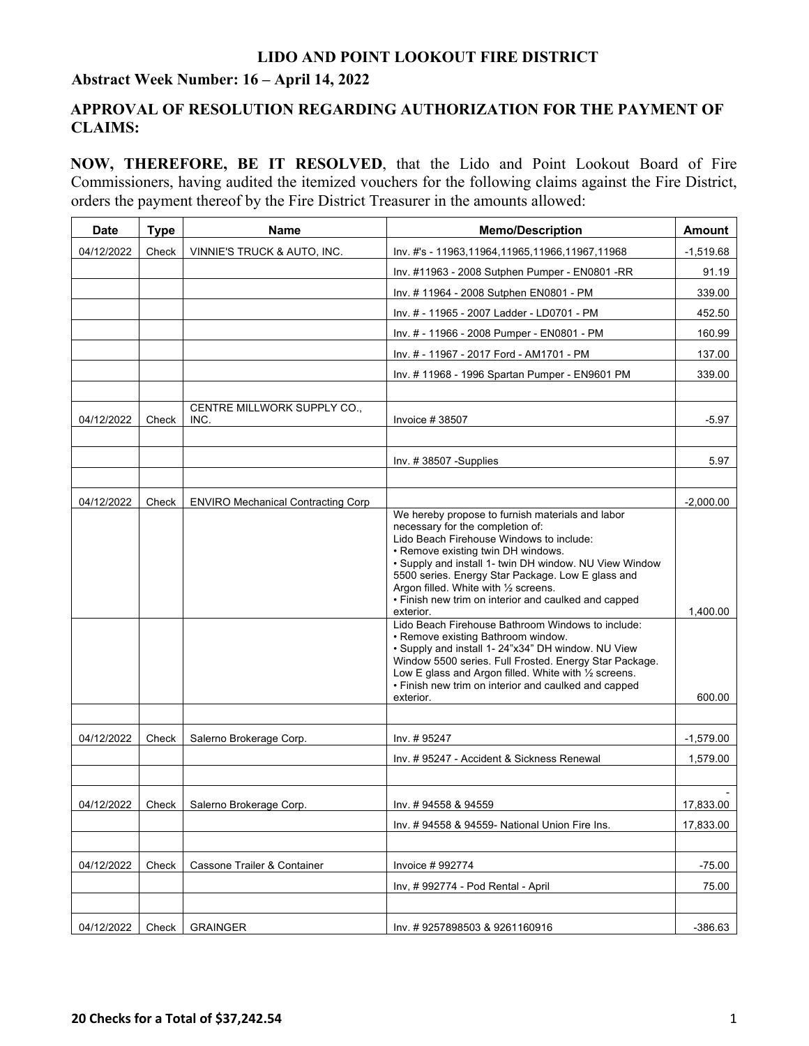#### **Abstract Week Number: 16 – April 14, 2022**

### **APPROVAL OF RESOLUTION REGARDING AUTHORIZATION FOR THE PAYMENT OF CLAIMS:**

**NOW, THEREFORE, BE IT RESOLVED**, that the Lido and Point Lookout Board of Fire Commissioners, having audited the itemized vouchers for the following claims against the Fire District, orders the payment thereof by the Fire District Treasurer in the amounts allowed:

| <b>Date</b> | <b>Type</b> | <b>Name</b>                               | <b>Memo/Description</b>                                                                                                                                                                                                                                                                                                                                                                                                                                                                                                                                                                                                                                                                                                                      | Amount             |
|-------------|-------------|-------------------------------------------|----------------------------------------------------------------------------------------------------------------------------------------------------------------------------------------------------------------------------------------------------------------------------------------------------------------------------------------------------------------------------------------------------------------------------------------------------------------------------------------------------------------------------------------------------------------------------------------------------------------------------------------------------------------------------------------------------------------------------------------------|--------------------|
| 04/12/2022  | Check       | VINNIE'S TRUCK & AUTO, INC.               | Inv. #'s - 11963,11964,11965,11966,11967,11968                                                                                                                                                                                                                                                                                                                                                                                                                                                                                                                                                                                                                                                                                               | $-1,519.68$        |
|             |             |                                           | Inv. #11963 - 2008 Sutphen Pumper - EN0801 -RR                                                                                                                                                                                                                                                                                                                                                                                                                                                                                                                                                                                                                                                                                               | 91.19              |
|             |             |                                           | Inv. # 11964 - 2008 Sutphen EN0801 - PM                                                                                                                                                                                                                                                                                                                                                                                                                                                                                                                                                                                                                                                                                                      | 339.00             |
|             |             |                                           | Inv. # - 11965 - 2007 Ladder - LD0701 - PM                                                                                                                                                                                                                                                                                                                                                                                                                                                                                                                                                                                                                                                                                                   | 452.50             |
|             |             |                                           | Inv. # - 11966 - 2008 Pumper - EN0801 - PM                                                                                                                                                                                                                                                                                                                                                                                                                                                                                                                                                                                                                                                                                                   | 160.99             |
|             |             |                                           | Inv. # - 11967 - 2017 Ford - AM1701 - PM                                                                                                                                                                                                                                                                                                                                                                                                                                                                                                                                                                                                                                                                                                     | 137.00             |
|             |             |                                           | Inv. #11968 - 1996 Spartan Pumper - EN9601 PM                                                                                                                                                                                                                                                                                                                                                                                                                                                                                                                                                                                                                                                                                                | 339.00             |
|             |             |                                           |                                                                                                                                                                                                                                                                                                                                                                                                                                                                                                                                                                                                                                                                                                                                              |                    |
| 04/12/2022  | Check       | CENTRE MILLWORK SUPPLY CO.,<br>INC.       | Invoice $#38507$                                                                                                                                                                                                                                                                                                                                                                                                                                                                                                                                                                                                                                                                                                                             | $-5.97$            |
|             |             |                                           |                                                                                                                                                                                                                                                                                                                                                                                                                                                                                                                                                                                                                                                                                                                                              |                    |
|             |             |                                           | Inv. #38507 -Supplies                                                                                                                                                                                                                                                                                                                                                                                                                                                                                                                                                                                                                                                                                                                        | 5.97               |
|             |             |                                           |                                                                                                                                                                                                                                                                                                                                                                                                                                                                                                                                                                                                                                                                                                                                              |                    |
| 04/12/2022  | Check       | <b>ENVIRO Mechanical Contracting Corp</b> |                                                                                                                                                                                                                                                                                                                                                                                                                                                                                                                                                                                                                                                                                                                                              | $-2,000.00$        |
|             |             |                                           | We hereby propose to furnish materials and labor<br>necessary for the completion of:<br>Lido Beach Firehouse Windows to include:<br>• Remove existing twin DH windows.<br>• Supply and install 1- twin DH window. NU View Window<br>5500 series. Energy Star Package. Low E glass and<br>Argon filled. White with 1/2 screens.<br>• Finish new trim on interior and caulked and capped<br>exterior.<br>Lido Beach Firehouse Bathroom Windows to include:<br>• Remove existing Bathroom window.<br>• Supply and install 1- 24"x34" DH window. NU View<br>Window 5500 series. Full Frosted. Energy Star Package.<br>Low E glass and Argon filled. White with 1/2 screens.<br>• Finish new trim on interior and caulked and capped<br>exterior. | 1,400.00<br>600.00 |
| 04/12/2022  | Check       | Salerno Brokerage Corp.                   | Inv. #95247                                                                                                                                                                                                                                                                                                                                                                                                                                                                                                                                                                                                                                                                                                                                  | $-1,579.00$        |
|             |             |                                           | Inv. #95247 - Accident & Sickness Renewal                                                                                                                                                                                                                                                                                                                                                                                                                                                                                                                                                                                                                                                                                                    | 1,579.00           |
|             |             |                                           |                                                                                                                                                                                                                                                                                                                                                                                                                                                                                                                                                                                                                                                                                                                                              |                    |
| 04/12/2022  | Check       | Salerno Brokerage Corp.                   | Inv. #94558 & 94559                                                                                                                                                                                                                                                                                                                                                                                                                                                                                                                                                                                                                                                                                                                          | 17,833.00          |
|             |             |                                           | Inv. # 94558 & 94559- National Union Fire Ins.                                                                                                                                                                                                                                                                                                                                                                                                                                                                                                                                                                                                                                                                                               | 17,833.00          |
|             |             |                                           |                                                                                                                                                                                                                                                                                                                                                                                                                                                                                                                                                                                                                                                                                                                                              |                    |
| 04/12/2022  | Check       | Cassone Trailer & Container               | Invoice #992774                                                                                                                                                                                                                                                                                                                                                                                                                                                                                                                                                                                                                                                                                                                              | $-75.00$           |
|             |             |                                           | Inv, #992774 - Pod Rental - April                                                                                                                                                                                                                                                                                                                                                                                                                                                                                                                                                                                                                                                                                                            | 75.00              |
|             |             |                                           |                                                                                                                                                                                                                                                                                                                                                                                                                                                                                                                                                                                                                                                                                                                                              |                    |
| 04/12/2022  | Check       | <b>GRAINGER</b>                           | Inv. #9257898503 & 9261160916                                                                                                                                                                                                                                                                                                                                                                                                                                                                                                                                                                                                                                                                                                                | $-386.63$          |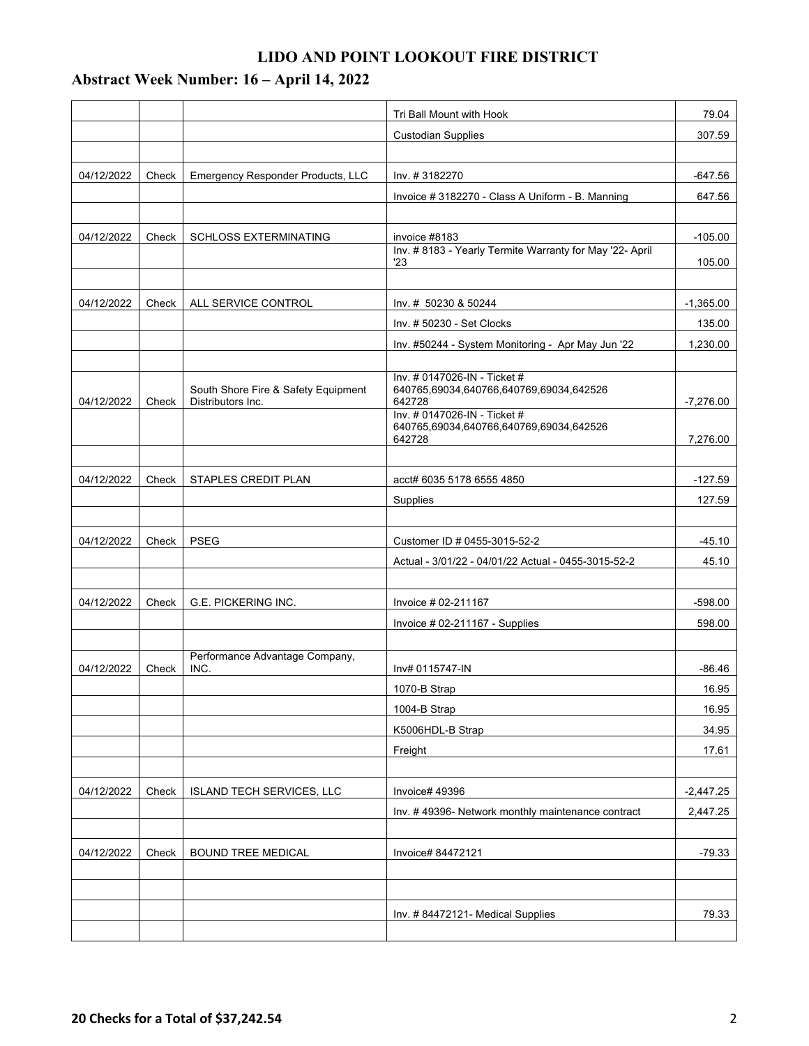## **Abstract Week Number: 16 – April 14, 2022**

|            |       |                                                          | Tri Ball Mount with Hook                                                | 79.04       |
|------------|-------|----------------------------------------------------------|-------------------------------------------------------------------------|-------------|
|            |       |                                                          | <b>Custodian Supplies</b>                                               | 307.59      |
|            |       |                                                          |                                                                         |             |
| 04/12/2022 | Check | Emergency Responder Products, LLC                        | Inv. #3182270                                                           | $-647.56$   |
|            |       |                                                          | Invoice #3182270 - Class A Uniform - B. Manning                         | 647.56      |
|            |       |                                                          |                                                                         |             |
| 04/12/2022 | Check | <b>SCHLOSS EXTERMINATING</b>                             | invoice #8183                                                           | $-105.00$   |
|            |       |                                                          | Inv. #8183 - Yearly Termite Warranty for May '22- April<br>23           | 105.00      |
|            |       |                                                          |                                                                         |             |
| 04/12/2022 | Check | ALL SERVICE CONTROL                                      | Inv. # 50230 & 50244                                                    | $-1,365.00$ |
|            |       |                                                          | Inv. #50230 - Set Clocks                                                | 135.00      |
|            |       |                                                          | Inv. #50244 - System Monitoring - Apr May Jun '22                       | 1,230.00    |
|            |       |                                                          |                                                                         |             |
|            |       |                                                          | Inv. # 0147026-IN - Ticket #                                            |             |
| 04/12/2022 | Check | South Shore Fire & Safety Equipment<br>Distributors Inc. | 640765,69034,640766,640769,69034,642526<br>642728                       | $-7,276.00$ |
|            |       |                                                          | Inv. # 0147026-IN - Ticket #<br>640765,69034,640766,640769,69034,642526 |             |
|            |       |                                                          | 642728                                                                  | 7,276.00    |
|            |       |                                                          |                                                                         |             |
| 04/12/2022 | Check | STAPLES CREDIT PLAN                                      | acct# 6035 5178 6555 4850                                               | $-127.59$   |
|            |       |                                                          | Supplies                                                                | 127.59      |
|            |       |                                                          |                                                                         |             |
| 04/12/2022 | Check | <b>PSEG</b>                                              | Customer ID # 0455-3015-52-2                                            | $-45.10$    |
|            |       |                                                          | Actual - 3/01/22 - 04/01/22 Actual - 0455-3015-52-2                     | 45.10       |
|            |       |                                                          |                                                                         |             |
| 04/12/2022 | Check | G.E. PICKERING INC.                                      | Invoice # 02-211167                                                     | $-598.00$   |
|            |       |                                                          | Invoice # 02-211167 - Supplies                                          | 598.00      |
|            |       |                                                          |                                                                         |             |
| 04/12/2022 | Check | Performance Advantage Company,<br>INC.                   | Inv# 0115747-IN                                                         | $-86.46$    |
|            |       |                                                          | 1070-B Strap                                                            | 16.95       |
|            |       |                                                          | 1004-B Strap                                                            | 16.95       |
|            |       |                                                          | K5006HDL-B Strap                                                        | 34.95       |
|            |       |                                                          | Freight                                                                 | 17.61       |
|            |       |                                                          |                                                                         |             |
| 04/12/2022 | Check | ISLAND TECH SERVICES, LLC                                | Invoice# 49396                                                          | $-2,447.25$ |
|            |       |                                                          | Inv. #49396- Network monthly maintenance contract                       | 2,447.25    |
|            |       |                                                          |                                                                         |             |
| 04/12/2022 | Check | <b>BOUND TREE MEDICAL</b>                                | Invoice# 84472121                                                       | $-79.33$    |
|            |       |                                                          |                                                                         |             |
|            |       |                                                          |                                                                         |             |
|            |       |                                                          | Inv. #84472121- Medical Supplies                                        | 79.33       |
|            |       |                                                          |                                                                         |             |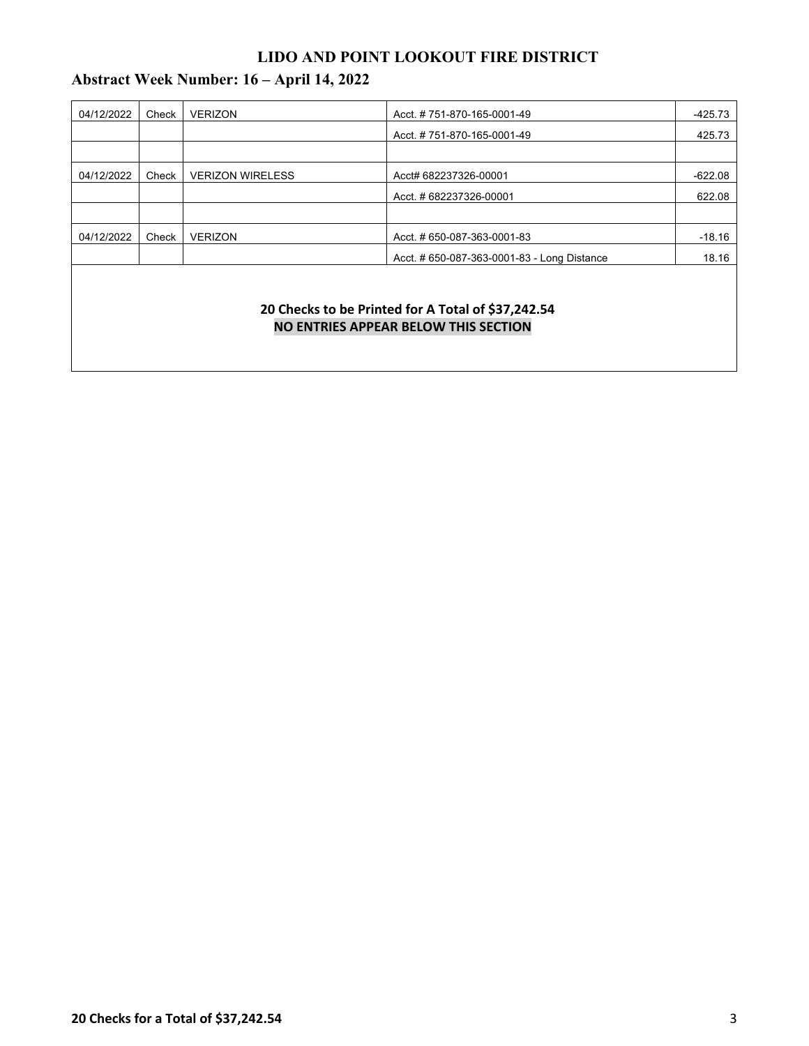# **Abstract Week Number: 16 – April 14, 2022**

| 04/12/2022 | Check | <b>VERIZON</b>          | Acct. #751-870-165-0001-49                  | -425.73   |
|------------|-------|-------------------------|---------------------------------------------|-----------|
|            |       |                         | Acct. #751-870-165-0001-49                  | 425.73    |
|            |       |                         |                                             |           |
| 04/12/2022 | Check | <b>VERIZON WIRELESS</b> | Acct# 682237326-00001                       | $-622.08$ |
|            |       |                         | Acct. #682237326-00001                      | 622.08    |
|            |       |                         |                                             |           |
| 04/12/2022 | Check | <b>VERIZON</b>          | Acct. # 650-087-363-0001-83                 | $-18.16$  |
|            |       |                         | Acct. # 650-087-363-0001-83 - Long Distance | 18.16     |
|            |       |                         |                                             |           |

#### **20 Checks to be Printed for A Total of \$37,242.54 NO ENTRIES APPEAR BELOW THIS SECTION**